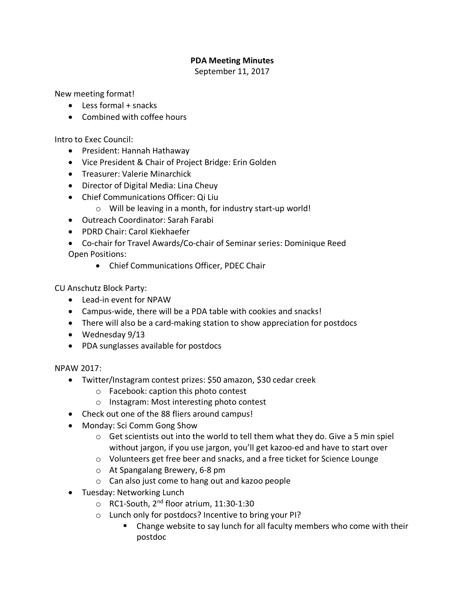## **PDA Meeting Minutes**

September 11, 2017

New meeting format!

- Less formal + snacks
- Combined with coffee hours

Intro to Exec Council:

- President: Hannah Hathaway
- Vice President & Chair of Project Bridge: Erin Golden
- Treasurer: Valerie Minarchick
- Director of Digital Media: Lina Cheuy
- Chief Communications Officer: Qi Liu
	- o Will be leaving in a month, for industry start-up world!
- Outreach Coordinator: Sarah Farabi
- PDRD Chair: Carol Kiekhaefer
- Co-chair for Travel Awards/Co-chair of Seminar series: Dominique Reed Open Positions:
	- Chief Communications Officer, PDEC Chair

CU Anschutz Block Party:

- Lead-in event for NPAW
- Campus-wide, there will be a PDA table with cookies and snacks!
- There will also be a card-making station to show appreciation for postdocs
- Wednesday 9/13
- PDA sunglasses available for postdocs

## NPAW 2017:

- Twitter/Instagram contest prizes: \$50 amazon, \$30 cedar creek
	- o Facebook: caption this photo contest
	- o Instagram: Most interesting photo contest
- Check out one of the 88 fliers around campus!
- Monday: Sci Comm Gong Show
	- $\circ$  Get scientists out into the world to tell them what they do. Give a 5 min spiel without jargon, if you use jargon, you'll get kazoo-ed and have to start over
	- o Volunteers get free beer and snacks, and a free ticket for Science Lounge
	- o At Spangalang Brewery, 6-8 pm
	- o Can also just come to hang out and kazoo people
- Tuesday: Networking Lunch
	- o RC1-South, 2nd floor atrium, 11:30-1:30
	- o Lunch only for postdocs? Incentive to bring your PI?
		- Change website to say lunch for all faculty members who come with their postdoc